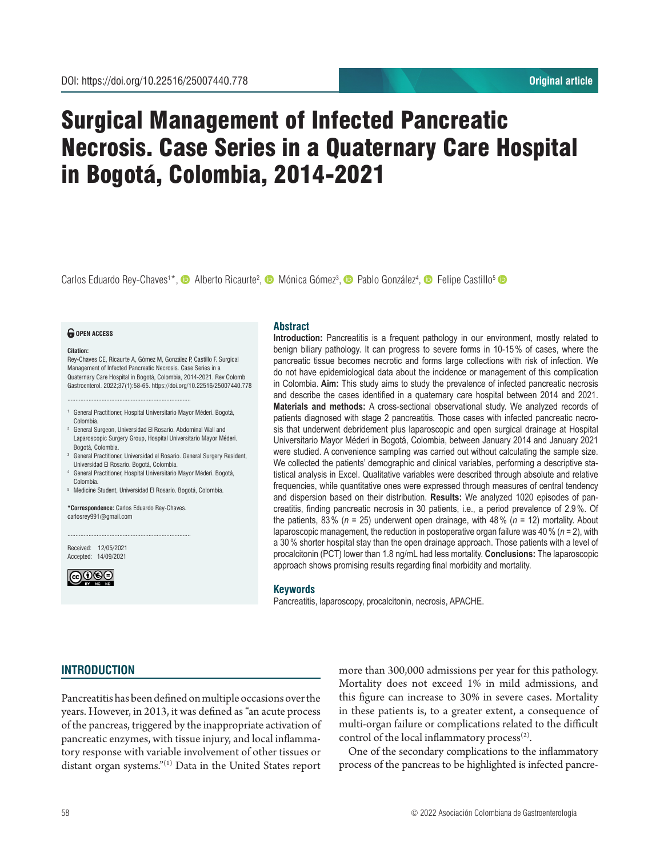# Surgical Management of Infected Pancreatic Necrosis. Case Series in a Quaternary Care Hospital in Bogotá, Colombia, 2014-2021

Carlos Eduardo Rey-Chaves<sup>1\*</sup>, © Alberto Ricaurte<sup>2</sup>, © Mónica Gómez<sup>3</sup>, © Pablo González<sup>4</sup>, © Felipe Castillo<sup>5</sup>

#### *<u>O</del>* OPEN ACCESS</u>

**Citation:**

Rey-Chaves CE, Ricaurte A, Gómez M, González P, Castillo F. Surgical Management of Infected Pancreatic Necrosis. Case Series in a Quaternary Care Hospital in Bogotá, Colombia, 2014-2021. Rev Colomb Gastroenterol. 2022;37(1):58-65. https://doi.org/10.22516/25007440.778

- <sup>1</sup> General Practitioner, Hospital Universitario Mayor Méderi. Bogotá, Colombia.
- <sup>2</sup> General Surgeon, Universidad El Rosario. Abdominal Wall and Laparoscopic Surgery Group, Hospital Universitario Mayor Méderi. Bogotá, Colombia.
- <sup>3</sup> General Practitioner, Universidad el Rosario. General Surgery Resident, Universidad El Rosario. Bogotá, Colombia.
- <sup>4</sup> General Practitioner, Hospital Universitario Mayor Méderi. Bogotá, Colombia.
- <sup>5</sup> Medicine Student, Universidad El Rosario. Bogotá, Colombia.

**\*Correspondence:** Carlos Eduardo Rey-Chaves. carlosrey991@gmail.com

............................................................................

............................................................................

Received: 12/05/2021 Accepted: 14/09/2021



# **Abstract**

**Introduction:** Pancreatitis is a frequent pathology in our environment, mostly related to benign biliary pathology. It can progress to severe forms in 10-15% of cases, where the pancreatic tissue becomes necrotic and forms large collections with risk of infection. We do not have epidemiological data about the incidence or management of this complication in Colombia. **Aim:** This study aims to study the prevalence of infected pancreatic necrosis and describe the cases identified in a quaternary care hospital between 2014 and 2021. **Materials and methods:** A cross-sectional observational study. We analyzed records of patients diagnosed with stage 2 pancreatitis. Those cases with infected pancreatic necrosis that underwent debridement plus laparoscopic and open surgical drainage at Hospital Universitario Mayor Méderi in Bogotá, Colombia, between January 2014 and January 2021 were studied. A convenience sampling was carried out without calculating the sample size. We collected the patients' demographic and clinical variables, performing a descriptive statistical analysis in Excel. Qualitative variables were described through absolute and relative frequencies, while quantitative ones were expressed through measures of central tendency and dispersion based on their distribution. **Results:** We analyzed 1020 episodes of pancreatitis, finding pancreatic necrosis in 30 patients, i.e., a period prevalence of 2.9%. Of the patients, 83% (*n* = 25) underwent open drainage, with 48% (*n* = 12) mortality. About laparoscopic management, the reduction in postoperative organ failure was 40% (*n* = 2), with a 30% shorter hospital stay than the open drainage approach. Those patients with a level of procalcitonin (PCT) lower than 1.8 ng/mL had less mortality. **Conclusions:** The laparoscopic approach shows promising results regarding final morbidity and mortality.

#### **Keywords**

Pancreatitis, laparoscopy, procalcitonin, necrosis, APACHE.

# **INTRODUCTION**

Pancreatitis has been defined on multiple occasions over the years. However, in 2013, it was defined as "an acute process of the pancreas, triggered by the inappropriate activation of pancreatic enzymes, with tissue injury, and local inflammatory response with variable involvement of other tissues or distant organ systems."<sup>(1)</sup> Data in the United States report more than 300,000 admissions per year for this pathology. Mortality does not exceed 1% in mild admissions, and this figure can increase to 30% in severe cases. Mortality in these patients is, to a greater extent, a consequence of multi-organ failure or complications related to the difficult control of the local inflammatory process $(2)$ .

One of the secondary complications to the inflammatory process of the pancreas to be highlighted is infected pancre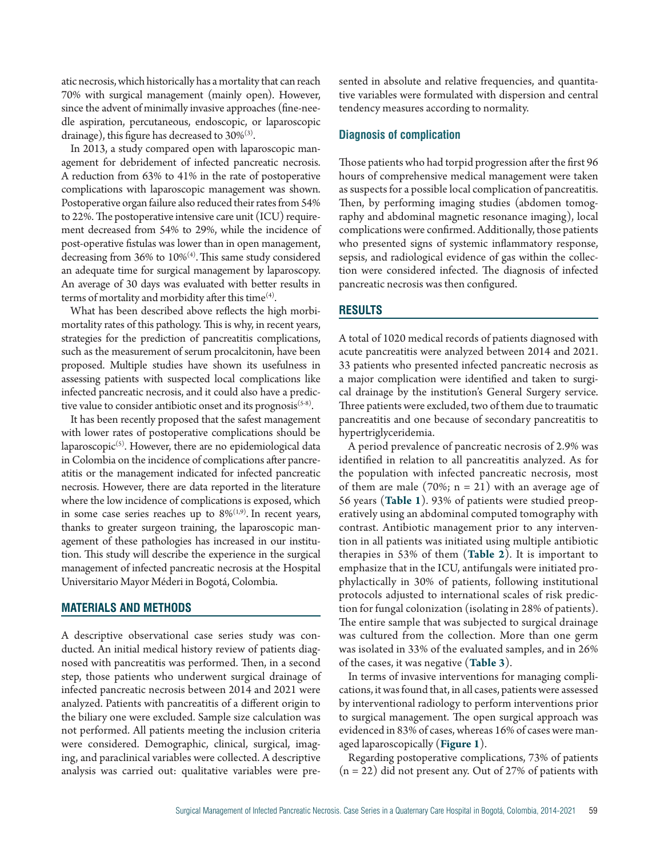atic necrosis, which historically has a mortality that can reach 70% with surgical management (mainly open). However, since the advent of minimally invasive approaches (fine-needle aspiration, percutaneous, endoscopic, or laparoscopic drainage), this figure has decreased to  $30\%$ <sup>(3)</sup>.

In 2013, a study compared open with laparoscopic management for debridement of infected pancreatic necrosis. A reduction from 63% to 41% in the rate of postoperative complications with laparoscopic management was shown. Postoperative organ failure also reduced their rates from 54% to 22%. The postoperative intensive care unit (ICU) requirement decreased from 54% to 29%, while the incidence of post-operative fistulas was lower than in open management, decreasing from 36% to 10%<sup>(4)</sup>. This same study considered an adequate time for surgical management by laparoscopy. An average of 30 days was evaluated with better results in terms of mortality and morbidity after this time $^{(4)}$ .

What has been described above reflects the high morbimortality rates of this pathology. This is why, in recent years, strategies for the prediction of pancreatitis complications, such as the measurement of serum procalcitonin, have been proposed. Multiple studies have shown its usefulness in assessing patients with suspected local complications like infected pancreatic necrosis, and it could also have a predictive value to consider antibiotic onset and its prognosis<sup>(5-8)</sup>.

It has been recently proposed that the safest management with lower rates of postoperative complications should be laparoscopic $<sup>(5)</sup>$ . However, there are no epidemiological data</sup> in Colombia on the incidence of complications after pancreatitis or the management indicated for infected pancreatic necrosis. However, there are data reported in the literature where the low incidence of complications is exposed, which in some case series reaches up to  $8\%^{(1,9)}$ . In recent years, thanks to greater surgeon training, the laparoscopic management of these pathologies has increased in our institution. This study will describe the experience in the surgical management of infected pancreatic necrosis at the Hospital Universitario Mayor Méderi in Bogotá, Colombia.

## **MATERIALS AND METHODS**

A descriptive observational case series study was conducted. An initial medical history review of patients diagnosed with pancreatitis was performed. Then, in a second step, those patients who underwent surgical drainage of infected pancreatic necrosis between 2014 and 2021 were analyzed. Patients with pancreatitis of a different origin to the biliary one were excluded. Sample size calculation was not performed. All patients meeting the inclusion criteria were considered. Demographic, clinical, surgical, imaging, and paraclinical variables were collected. A descriptive analysis was carried out: qualitative variables were presented in absolute and relative frequencies, and quantitative variables were formulated with dispersion and central tendency measures according to normality.

# **Diagnosis of complication**

Those patients who had torpid progression after the first 96 hours of comprehensive medical management were taken as suspects for a possible local complication of pancreatitis. Then, by performing imaging studies (abdomen tomography and abdominal magnetic resonance imaging), local complications were confirmed. Additionally, those patients who presented signs of systemic inflammatory response, sepsis, and radiological evidence of gas within the collection were considered infected. The diagnosis of infected pancreatic necrosis was then configured.

#### **RESULTS**

A total of 1020 medical records of patients diagnosed with acute pancreatitis were analyzed between 2014 and 2021. 33 patients who presented infected pancreatic necrosis as a major complication were identified and taken to surgical drainage by the institution's General Surgery service. Three patients were excluded, two of them due to traumatic pancreatitis and one because of secondary pancreatitis to hypertriglyceridemia.

A period prevalence of pancreatic necrosis of 2.9% was identified in relation to all pancreatitis analyzed. As for the population with infected pancreatic necrosis, most of them are male  $(70\%; n = 21)$  with an average age of 56 years (**Table 1**). 93% of patients were studied preoperatively using an abdominal computed tomography with contrast. Antibiotic management prior to any intervention in all patients was initiated using multiple antibiotic therapies in 53% of them (**Table 2**). It is important to emphasize that in the ICU, antifungals were initiated prophylactically in 30% of patients, following institutional protocols adjusted to international scales of risk prediction for fungal colonization (isolating in 28% of patients). The entire sample that was subjected to surgical drainage was cultured from the collection. More than one germ was isolated in 33% of the evaluated samples, and in 26% of the cases, it was negative (**Table 3**).

In terms of invasive interventions for managing complications, it was found that, in all cases, patients were assessed by interventional radiology to perform interventions prior to surgical management. The open surgical approach was evidenced in 83% of cases, whereas 16% of cases were managed laparoscopically (**Figure 1**).

Regarding postoperative complications, 73% of patients  $(n = 22)$  did not present any. Out of 27% of patients with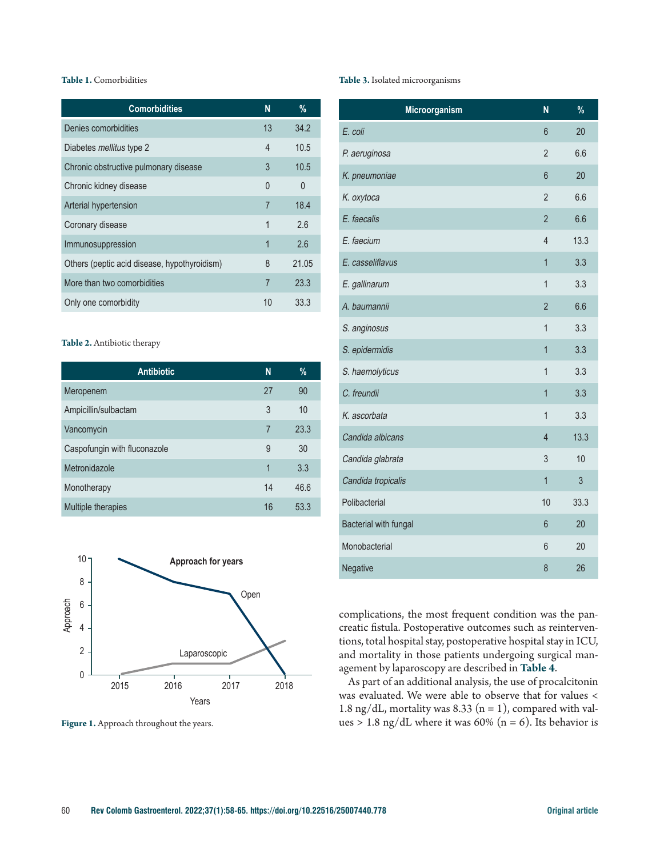## **Table 1.** Comorbidities

| <b>Comorbidities</b>                         | N              | $\%$     |
|----------------------------------------------|----------------|----------|
| Denies comorbidities                         | 13             | 34.2     |
| Diabetes <i>mellitus</i> type 2              | 4              | 10.5     |
| Chronic obstructive pulmonary disease        | 3              | 10.5     |
| Chronic kidney disease                       | $\Omega$       | $\Omega$ |
| Arterial hypertension                        | 7              | 18.4     |
| Coronary disease                             | 1              | 2.6      |
| Immunosuppression                            | 1              | 2.6      |
| Others (peptic acid disease, hypothyroidism) | 8              | 21.05    |
| More than two comorbidities                  | $\overline{7}$ | 23.3     |
| Only one comorbidity                         | 10             | 33.3     |

#### **Table 2.** Antibiotic therapy

| <b>Antibiotic</b>            | N              | %    |
|------------------------------|----------------|------|
| Meropenem                    | 27             | 90   |
| Ampicillin/sulbactam         | 3              | 10   |
| Vancomycin                   | $\overline{7}$ | 23.3 |
| Caspofungin with fluconazole | 9              | 30   |
| Metronidazole                | 1              | 3.3  |
| Monotherapy                  | 14             | 46.6 |
| Multiple therapies           | 16             | 53.3 |



**Figure 1.** Approach throughout the years.

#### **Table 3.** Isolated microorganisms

| Microorganism         | N              | $\frac{9}{6}$ |
|-----------------------|----------------|---------------|
| E. coli               | 6              | 20            |
| P. aeruginosa         | $\overline{2}$ | 6.6           |
| K. pneumoniae         | 6              | 20            |
| K. oxytoca            | $\overline{2}$ | 6.6           |
| E. faecalis           | $\overline{2}$ | 6.6           |
| E. faecium            | $\overline{4}$ | 13.3          |
| E. casseliflavus      | $\overline{1}$ | 3.3           |
| E. gallinarum         | 1              | 3.3           |
| A. baumannii          | $\overline{2}$ | 6.6           |
| S. anginosus          | $\overline{1}$ | 3.3           |
| S. epidermidis        | $\mathbf{1}$   | 3.3           |
| S. haemolyticus       | $\overline{1}$ | 3.3           |
| C. freundii           | $\overline{1}$ | 3.3           |
| K. ascorbata          | $\overline{1}$ | 3.3           |
| Candida albicans      | $\overline{4}$ | 13.3          |
| Candida glabrata      | 3              | 10            |
| Candida tropicalis    | $\overline{1}$ | 3             |
| Polibacterial         | 10             | 33.3          |
| Bacterial with fungal | 6              | 20            |
| Monobacterial         | 6              | 20            |
| Negative              | 8              | 26            |

complications, the most frequent condition was the pancreatic fistula. Postoperative outcomes such as reinterventions, total hospital stay, postoperative hospital stay in ICU, and mortality in those patients undergoing surgical management by laparoscopy are described in **Table 4**.

As part of an additional analysis, the use of procalcitonin was evaluated. We were able to observe that for values < 1.8 ng/dL, mortality was 8.33 ( $n = 1$ ), compared with values > 1.8 ng/dL where it was 60% ( $n = 6$ ). Its behavior is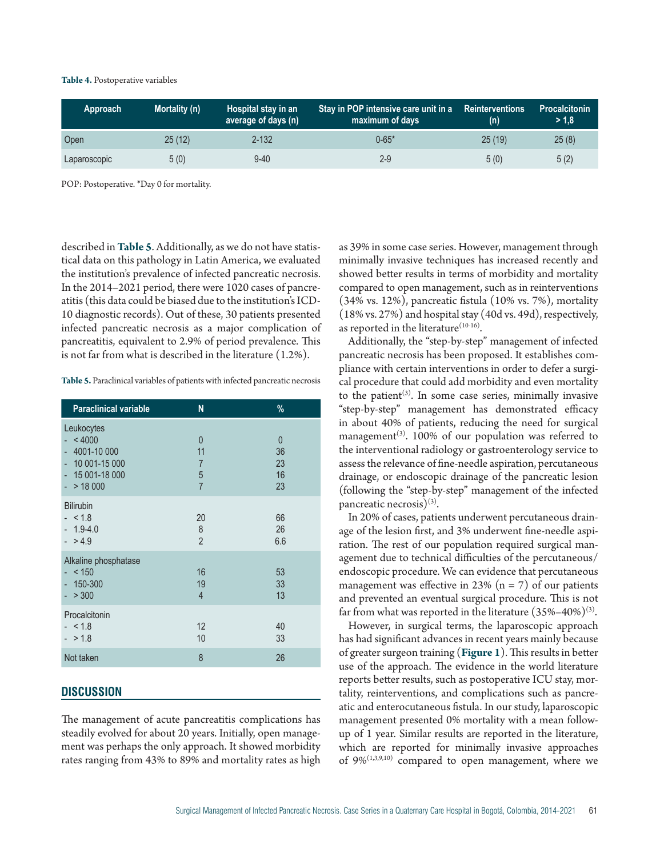#### **Table 4.** Postoperative variables

| Approach     | Mortality (n) | Hospital stay in an<br>average of days (n) | Stay in POP intensive care unit in a<br>maximum of days | <b>Reinterventions</b><br>(n) | <b>Procalcitonin</b><br>>1.8 |
|--------------|---------------|--------------------------------------------|---------------------------------------------------------|-------------------------------|------------------------------|
| Open         | 25(12)        | $2 - 132$                                  | $0 - 65*$                                               | 25(19)                        | 25(8)                        |
| Laparoscopic | 5(0)          | $9 - 40$                                   | 2-9                                                     | 5(0)                          | 5(2)                         |

POP: Postoperative. \*Day 0 for mortality.

described in **Table 5**. Additionally, as we do not have statistical data on this pathology in Latin America, we evaluated the institution's prevalence of infected pancreatic necrosis. In the 2014–2021 period, there were 1020 cases of pancreatitis (this data could be biased due to the institution's ICD-10 diagnostic records). Out of these, 30 patients presented infected pancreatic necrosis as a major complication of pancreatitis, equivalent to 2.9% of period prevalence. This is not far from what is described in the literature (1.2%).

**Table 5.** Paraclinical variables of patients with infected pancreatic necrosis

| <b>Paraclinical variable</b>                                                           | N                                                             | %                                      |
|----------------------------------------------------------------------------------------|---------------------------------------------------------------|----------------------------------------|
| Leukocytes<br>< 4000<br>4001-10 000<br>$-10001-15000$<br>$-15001-18000$<br>$- > 18000$ | $\overline{0}$<br>11<br>$\overline{7}$<br>5<br>$\overline{7}$ | $\overline{0}$<br>36<br>23<br>16<br>23 |
| <b>Bilirubin</b><br>$- < 1.8$<br>$-1.9 - 4.0$<br>$-$ > 4.9                             | 20<br>$\,8\,$<br>$\overline{2}$                               | 66<br>26<br>6.6                        |
| Alkaline phosphatase<br>< 150<br>$-150-300$<br>> 300                                   | 16<br>19<br>$\overline{4}$                                    | 53<br>33<br>13                         |
| Procalcitonin<br>$- < 1.8$<br>$- > 1.8$                                                | 12<br>10                                                      | 40<br>33                               |
| Not taken                                                                              | 8                                                             | 26                                     |

## **DISCUSSION**

The management of acute pancreatitis complications has steadily evolved for about 20 years. Initially, open management was perhaps the only approach. It showed morbidity rates ranging from 43% to 89% and mortality rates as high as 39% in some case series. However, management through minimally invasive techniques has increased recently and showed better results in terms of morbidity and mortality compared to open management, such as in reinterventions (34% vs. 12%), pancreatic fistula (10% vs. 7%), mortality (18% vs. 27%) and hospital stay (40d vs. 49d), respectively, as reported in the literature<sup> $(10-16)$ </sup>.

Additionally, the "step-by-step" management of infected pancreatic necrosis has been proposed. It establishes compliance with certain interventions in order to defer a surgical procedure that could add morbidity and even mortality to the patient<sup>(3)</sup>. In some case series, minimally invasive "step-by-step" management has demonstrated efficacy in about 40% of patients, reducing the need for surgical management<sup>(3)</sup>. 100% of our population was referred to the interventional radiology or gastroenterology service to assess the relevance of fine-needle aspiration, percutaneous drainage, or endoscopic drainage of the pancreatic lesion (following the "step-by-step" management of the infected pancreatic necrosis)<sup>(3)</sup>.

In 20% of cases, patients underwent percutaneous drainage of the lesion first, and 3% underwent fine-needle aspiration. The rest of our population required surgical management due to technical difficulties of the percutaneous/ endoscopic procedure. We can evidence that percutaneous management was effective in 23%  $(n = 7)$  of our patients and prevented an eventual surgical procedure. This is not far from what was reported in the literature  $(35\% - 40\%)$ <sup>(3)</sup>.

However, in surgical terms, the laparoscopic approach has had significant advances in recent years mainly because of greater surgeon training (**Figure 1**). This results in better use of the approach. The evidence in the world literature reports better results, such as postoperative ICU stay, mortality, reinterventions, and complications such as pancreatic and enterocutaneous fistula. In our study, laparoscopic management presented 0% mortality with a mean followup of 1 year. Similar results are reported in the literature, which are reported for minimally invasive approaches of 9%(1,3,9,10) compared to open management, where we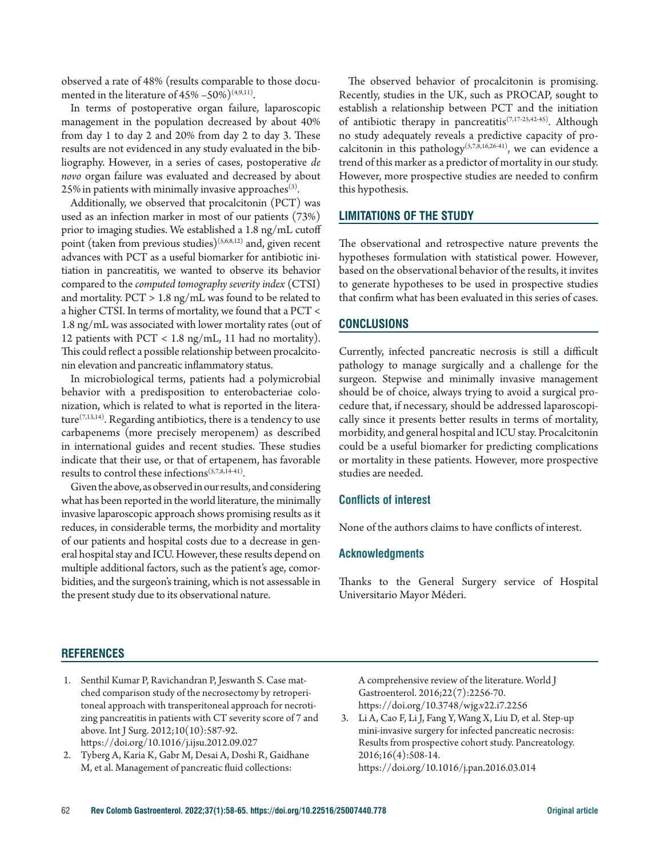observed a rate of 48% (results comparable to those documented in the literature of  $45\% - 50\%$ <sup>(4,9,11)</sup>.

In terms of postoperative organ failure, laparoscopic management in the population decreased by about 40% from day 1 to day 2 and 20% from day 2 to day 3. These results are not evidenced in any study evaluated in the bibliography. However, in a series of cases, postoperative *de novo* organ failure was evaluated and decreased by about  $25\%$  in patients with minimally invasive approaches<sup>(3)</sup>.

Additionally, we observed that procalcitonin (PCT) was used as an infection marker in most of our patients (73%) prior to imaging studies. We established a 1.8 ng/mL cutoff point (taken from previous studies)<sup>(5,6,8,12)</sup> and, given recent advances with PCT as a useful biomarker for antibiotic initiation in pancreatitis, we wanted to observe its behavior compared to the *computed tomography severity index* (CTSI) and mortality. PCT > 1.8 ng/mL was found to be related to a higher CTSI. In terms of mortality, we found that a PCT < 1.8 ng/mL was associated with lower mortality rates (out of 12 patients with PCT < 1.8 ng/mL, 11 had no mortality). This could reflect a possible relationship between procalcitonin elevation and pancreatic inflammatory status.

In microbiological terms, patients had a polymicrobial behavior with a predisposition to enterobacteriae colonization, which is related to what is reported in the literature<sup>(7,13,14)</sup>. Regarding antibiotics, there is a tendency to use carbapenems (more precisely meropenem) as described in international guides and recent studies. These studies indicate that their use, or that of ertapenem, has favorable results to control these infections(5,7,8,14-41).

Given the above, as observed in our results, and considering what has been reported in the world literature, the minimally invasive laparoscopic approach shows promising results as it reduces, in considerable terms, the morbidity and mortality of our patients and hospital costs due to a decrease in general hospital stay and ICU. However, these results depend on multiple additional factors, such as the patient's age, comorbidities, and the surgeon's training, which is not assessable in the present study due to its observational nature.

The observed behavior of procalcitonin is promising. Recently, studies in the UK, such as PROCAP, sought to establish a relationship between PCT and the initiation of antibiotic therapy in pancreatitis(7,17-25,42-45). Although no study adequately reveals a predictive capacity of procalcitonin in this pathology<sup>(5,7,8,16,26-41)</sup>, we can evidence a trend of this marker as a predictor of mortality in our study. However, more prospective studies are needed to confirm this hypothesis.

## **LIMITATIONS OF THE STUDY**

The observational and retrospective nature prevents the hypotheses formulation with statistical power. However, based on the observational behavior of the results, it invites to generate hypotheses to be used in prospective studies that confirm what has been evaluated in this series of cases.

## **CONCLUSIONS**

Currently, infected pancreatic necrosis is still a difficult pathology to manage surgically and a challenge for the surgeon. Stepwise and minimally invasive management should be of choice, always trying to avoid a surgical procedure that, if necessary, should be addressed laparoscopically since it presents better results in terms of mortality, morbidity, and general hospital and ICU stay. Procalcitonin could be a useful biomarker for predicting complications or mortality in these patients. However, more prospective studies are needed.

## **Conflicts of interest**

None of the authors claims to have conflicts of interest.

#### **Acknowledgments**

Thanks to the General Surgery service of Hospital Universitario Mayor Méderi.

## **REFERENCES**

- 1. Senthil Kumar P, Ravichandran P, Jeswanth S. Case matched comparison study of the necrosectomy by retroperitoneal approach with transperitoneal approach for necrotizing pancreatitis in patients with CT severity score of 7 and above. Int J Surg. 2012;10(10):587-92. https://doi.org/10.1016/j.ijsu.2012.09.027
- 2. Tyberg A, Karia K, Gabr M, Desai A, Doshi R, Gaidhane M, et al. Management of pancreatic fluid collections:

A comprehensive review of the literature. World J Gastroenterol. 2016;22(7):2256-70. https://doi.org/10.3748/wjg.v22.i7.2256

3. Li A, Cao F, Li J, Fang Y, Wang X, Liu D, et al. Step-up mini-invasive surgery for infected pancreatic necrosis: Results from prospective cohort study. Pancreatology. 2016;16(4):508-14. https://doi.org/10.1016/j.pan.2016.03.014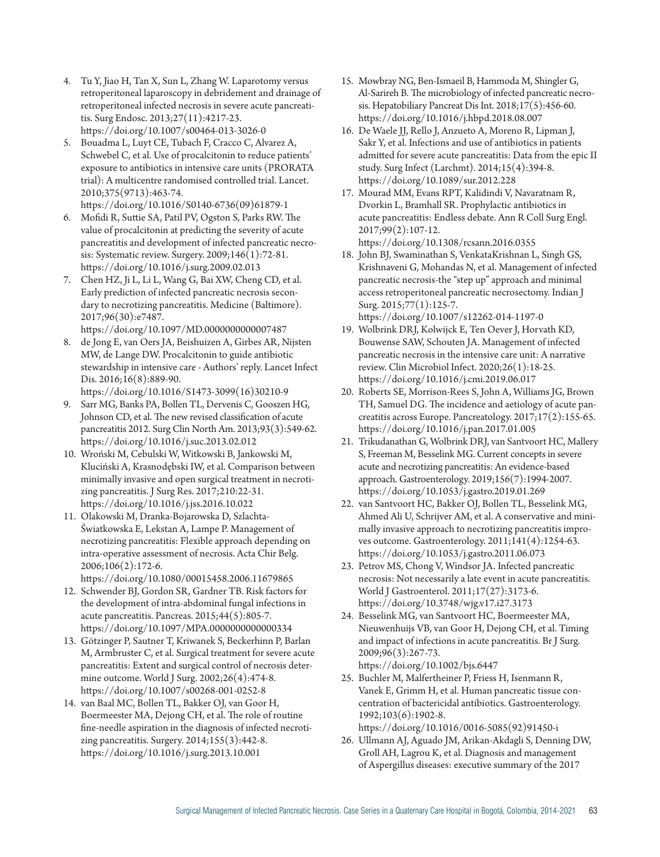- 4. Tu Y, Jiao H, Tan X, Sun L, Zhang W. Laparotomy versus retroperitoneal laparoscopy in debridement and drainage of retroperitoneal infected necrosis in severe acute pancreatitis. Surg Endosc. 2013;27(11):4217-23. https://doi.org/10.1007/s00464-013-3026-0
- 5. Bouadma L, Luyt CE, Tubach F, Cracco C, Alvarez A, Schwebel C, et al. Use of procalcitonin to reduce patients' exposure to antibiotics in intensive care units (PRORATA trial): A multicentre randomised controlled trial. Lancet. 2010;375(9713):463-74. https://doi.org/10.1016/S0140-6736(09)61879-1
- 6. Mofidi R, Suttie SA, Patil PV, Ogston S, Parks RW. The value of procalcitonin at predicting the severity of acute pancreatitis and development of infected pancreatic necrosis: Systematic review. Surgery. 2009;146(1):72-81. https://doi.org/10.1016/j.surg.2009.02.013
- 7. Chen HZ, Ji L, Li L, Wang G, Bai XW, Cheng CD, et al. Early prediction of infected pancreatic necrosis secondary to necrotizing pancreatitis. Medicine (Baltimore). 2017;96(30):e7487. https://doi.org/10.1097/MD.0000000000007487
- 8. de Jong E, van Oers JA, Beishuizen A, Girbes AR, Nijsten MW, de Lange DW. Procalcitonin to guide antibiotic stewardship in intensive care - Authors' reply. Lancet Infect Dis. 2016;16(8):889-90. https://doi.org/10.1016/S1473-3099(16)30210-9
- 9. Sarr MG, Banks PA, Bollen TL, Dervenis C, Gooszen HG, Johnson CD, et al. The new revised classification of acute pancreatitis 2012. Surg Clin North Am. 2013;93(3):549-62. https://doi.org/10.1016/j.suc.2013.02.012
- 10. Wroński M, Cebulski W, Witkowski B, Jankowski M, Kluciński A, Krasnodębski IW, et al. Comparison between minimally invasive and open surgical treatment in necrotizing pancreatitis. J Surg Res. 2017;210:22-31. https://doi.org/10.1016/j.jss.2016.10.022
- 11. Olakowski M, Dranka-Bojarowska D, Szlachta-Światkowska E, Lekstan A, Lampe P. Management of necrotizing pancreatitis: Flexible approach depending on intra-operative assessment of necrosis. Acta Chir Belg. 2006;106(2):172-6.

https://doi.org/10.1080/00015458.2006.11679865

- 12. Schwender BJ, Gordon SR, Gardner TB. Risk factors for the development of intra-abdominal fungal infections in acute pancreatitis. Pancreas. 2015;44(5):805-7. https://doi.org/10.1097/MPA.0000000000000334
- 13. Götzinger P, Sautner T, Kriwanek S, Beckerhinn P, Barlan M, Armbruster C, et al. Surgical treatment for severe acute pancreatitis: Extent and surgical control of necrosis determine outcome. World J Surg. 2002;26(4):474-8. https://doi.org/10.1007/s00268-001-0252-8
- 14. van Baal MC, Bollen TL, Bakker OJ, van Goor H, Boermeester MA, Dejong CH, et al. The role of routine fine-needle aspiration in the diagnosis of infected necrotizing pancreatitis. Surgery. 2014;155(3):442-8. https://doi.org/10.1016/j.surg.2013.10.001
- 15. Mowbray NG, Ben-Ismaeil B, Hammoda M, Shingler G, Al-Sarireh B. The microbiology of infected pancreatic necrosis. Hepatobiliary Pancreat Dis Int. 2018;17(5):456-60. https://doi.org/10.1016/j.hbpd.2018.08.007
- 16. De Waele JJ, Rello J, Anzueto A, Moreno R, Lipman J, Sakr Y, et al. Infections and use of antibiotics in patients admitted for severe acute pancreatitis: Data from the epic II study. Surg Infect (Larchmt). 2014;15(4):394-8. https://doi.org/10.1089/sur.2012.228
- 17. Mourad MM, Evans RPT, Kalidindi V, Navaratnam R, Dvorkin L, Bramhall SR. Prophylactic antibiotics in acute pancreatitis: Endless debate. Ann R Coll Surg Engl. 2017;99(2):107-12. https://doi.org/10.1308/rcsann.2016.0355
- 18. John BJ, Swaminathan S, VenkataKrishnan L, Singh GS, Krishnaveni G, Mohandas N, et al. Management of infected pancreatic necrosis-the "step up" approach and minimal access retroperitoneal pancreatic necrosectomy. Indian J Surg. 2015;77(1):125-7. https://doi.org/10.1007/s12262-014-1197-0
- 19. Wolbrink DRJ, Kolwijck E, Ten Oever J, Horvath KD, Bouwense SAW, Schouten JA. Management of infected pancreatic necrosis in the intensive care unit: A narrative review. Clin Microbiol Infect. 2020;26(1):18-25. https://doi.org/10.1016/j.cmi.2019.06.017
- 20. Roberts SE, Morrison-Rees S, John A, Williams JG, Brown TH, Samuel DG. The incidence and aetiology of acute pancreatitis across Europe. Pancreatology. 2017;17(2):155-65. https://doi.org/10.1016/j.pan.2017.01.005
- 21. Trikudanathan G, Wolbrink DRJ, van Santvoort HC, Mallery S, Freeman M, Besselink MG. Current concepts in severe acute and necrotizing pancreatitis: An evidence-based approach. Gastroenterology. 2019;156(7):1994-2007. https://doi.org/10.1053/j.gastro.2019.01.269
- 22. van Santvoort HC, Bakker OJ, Bollen TL, Besselink MG, Ahmed Ali U, Schrijver AM, et al. A conservative and minimally invasive approach to necrotizing pancreatitis improves outcome. Gastroenterology. 2011;141(4):1254-63. https://doi.org/10.1053/j.gastro.2011.06.073
- 23. Petrov MS, Chong V, Windsor JA. Infected pancreatic necrosis: Not necessarily a late event in acute pancreatitis. World J Gastroenterol. 2011;17(27):3173-6. https://doi.org/10.3748/wjg.v17.i27.3173
- 24. Besselink MG, van Santvoort HC, Boermeester MA, Nieuwenhuijs VB, van Goor H, Dejong CH, et al. Timing and impact of infections in acute pancreatitis. Br J Surg. 2009;96(3):267-73. https://doi.org/10.1002/bjs.6447
- 25. Buchler M, Malfertheiner P, Friess H, Isenmann R, Vanek E, Grimm H, et al. Human pancreatic tissue concentration of bactericidal antibiotics. Gastroenterology. 1992;103(6):1902-8. https://doi.org/10.1016/0016-5085(92)91450-i
- 26. Ullmann AJ, Aguado JM, Arikan-Akdagli S, Denning DW, Groll AH, Lagrou K, et al. Diagnosis and management of Aspergillus diseases: executive summary of the 2017